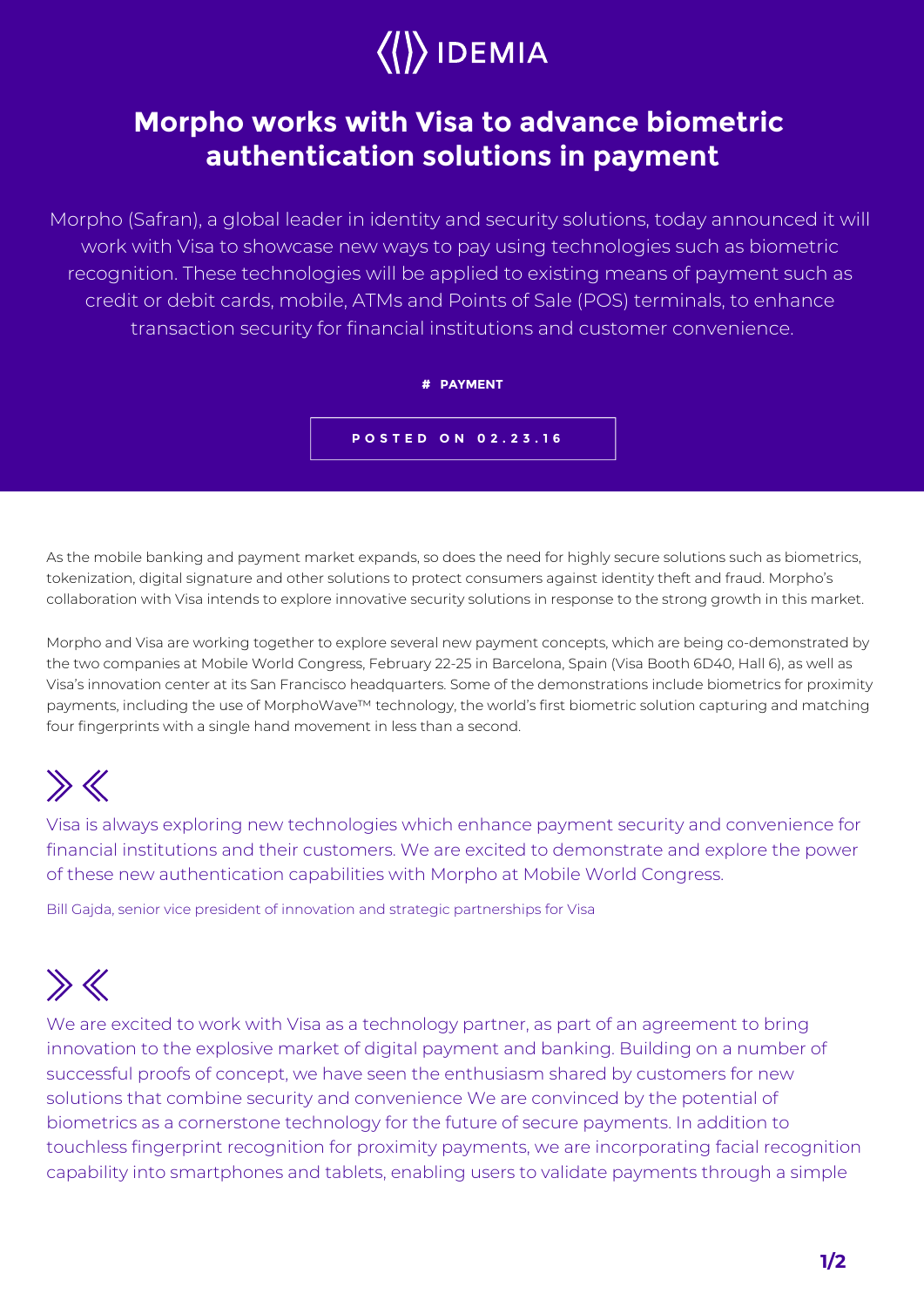

## **Morpho works with Visa to advance biometric authentication solutions in payment**

Morpho (Safran), a global leader in identity and security solutions, today announced it will work with Visa to showcase new ways to pay using technologies such as biometric recognition. These technologies will be applied to existing means of payment such as credit or debit cards, mobile, ATMs and Points of Sale (POS) terminals, to enhance transaction security for financial institutions and customer convenience.



As the mobile banking and payment market expands, so does the need for highly secure solutions such as biometrics, tokenization, digital signature and other solutions to protect consumers against identity theft and fraud. Morpho's collaboration with Visa intends to explore innovative security solutions in response to the strong growth in this market.

Morpho and Visa are working together to explore several new payment concepts, which are being co-demonstrated by the two companies at Mobile World Congress, February 22-25 in Barcelona, Spain (Visa Booth 6D40, Hall 6), as well as Visa's innovation center at its San Francisco headquarters. Some of the demonstrations include biometrics for proximity payments, including the use of MorphoWave™ technology, the world's first biometric solution capturing and matching four fingerprints with a single hand movement in less than a second.

## $\gg K$

Visa is always exploring new technologies which enhance payment security and convenience for financial institutions and their customers. We are excited to demonstrate and explore the power of these new authentication capabilities with Morpho at Mobile World Congress.

Bill Gajda, senior vice president of innovation and strategic partnerships for Visa

## $\gg K$

We are excited to work with Visa as a technology partner, as part of an agreement to bring innovation to the explosive market of digital payment and banking. Building on a number of successful proofs of concept, we have seen the enthusiasm shared by customers for new solutions that combine security and convenience We are convinced by the potential of biometrics as a cornerstone technology for the future of secure payments. In addition to touchless fingerprint recognition for proximity payments, we are incorporating facial recognition capability into smartphones and tablets, enabling users to validate payments through a simple